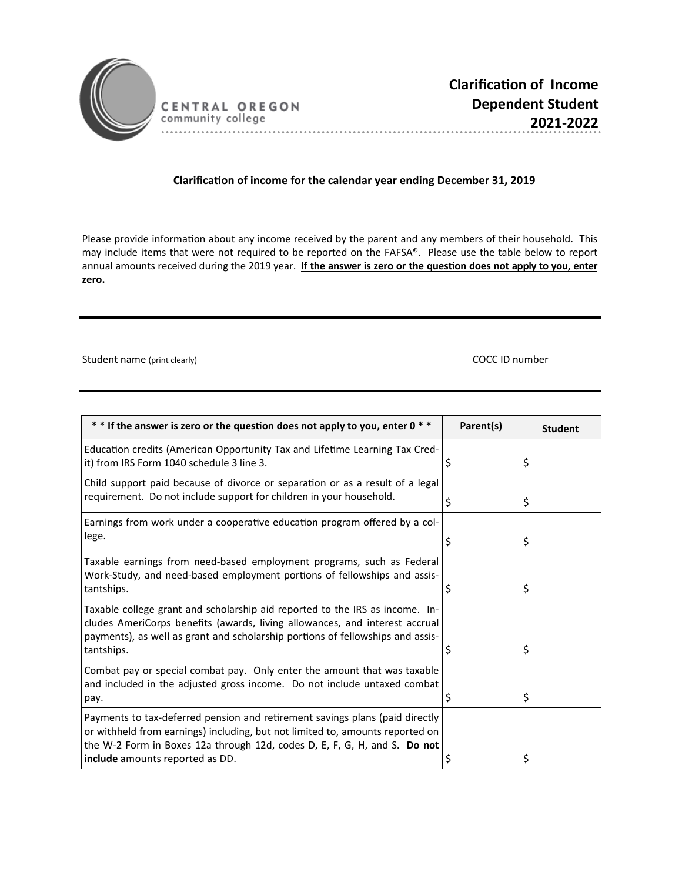

CENTRAL OREGON community college

## **ClarificaƟon of income for the calendar year ending December 31, 2019**

Please provide information about any income received by the parent and any members of their household. This may include items that were not required to be reported on the FAFSA®. Please use the table below to report annual amounts received during the 2019 year. If the answer is zero or the question does not apply to you, enter **zero.** 

Student name (print clearly) COCC ID number

| * * If the answer is zero or the question does not apply to you, enter 0 * *                                                                                                                                                                                                  | Parent(s) | <b>Student</b> |
|-------------------------------------------------------------------------------------------------------------------------------------------------------------------------------------------------------------------------------------------------------------------------------|-----------|----------------|
| Education credits (American Opportunity Tax and Lifetime Learning Tax Cred-<br>it) from IRS Form 1040 schedule 3 line 3.                                                                                                                                                      | \$        | \$             |
| Child support paid because of divorce or separation or as a result of a legal<br>requirement. Do not include support for children in your household.                                                                                                                          | \$        | \$             |
| Earnings from work under a cooperative education program offered by a col-<br>lege.                                                                                                                                                                                           | \$        | \$             |
| Taxable earnings from need-based employment programs, such as Federal<br>Work-Study, and need-based employment portions of fellowships and assis-<br>tantships.                                                                                                               |           | \$             |
| Taxable college grant and scholarship aid reported to the IRS as income. In-<br>cludes AmeriCorps benefits (awards, living allowances, and interest accrual<br>payments), as well as grant and scholarship portions of fellowships and assis-<br>tantships.                   | Ş         | \$             |
| Combat pay or special combat pay. Only enter the amount that was taxable<br>and included in the adjusted gross income. Do not include untaxed combat<br>pay.                                                                                                                  | Ş         | \$             |
| Payments to tax-deferred pension and retirement savings plans (paid directly<br>or withheld from earnings) including, but not limited to, amounts reported on<br>the W-2 Form in Boxes 12a through 12d, codes D, E, F, G, H, and S. Do not<br>include amounts reported as DD. |           | \$             |